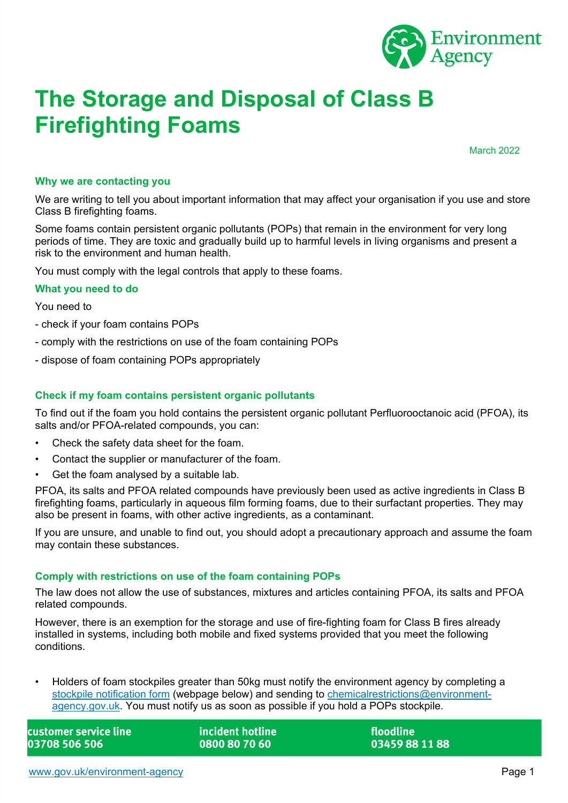

# **The Storage and Disposal of Class B Firefighting Foams**

March 2022

### **Why we are contacting you**

We are writing to tell you about important information that may affect your organisation if you use and store Class B firefighting foams.

Some foams contain persistent organic pollutants (POPs) that remain in the environment for very long periods of time. They are toxic and gradually build up to harmful levels in living organisms and present a risk to the environment and human health.

You must comply with the legal controls that apply to these foams.

### **What you need to do**

You need to

- check if your foam contains POPs
- comply with the restrictions on use of the foam containing POPs
- dispose of foam containing POPs appropriately

## **Check if my foam contains persistent organic pollutants**

To find out if the foam you hold contains the persistent organic pollutant Perfluorooctanoic acid (PFOA), its salts and/or PFOA-related compounds, you can:

- Check the safety data sheet for the foam.
- Contact the supplier or manufacturer of the foam.
- Get the foam analysed by a suitable lab.

PFOA, its salts and PFOA related compounds have previously been used as active ingredients in Class B firefighting foams, particularly in aqueous film forming foams, due to their surfactant properties. They may also be present in foams, with other active ingredients, as a contaminant.

If you are unsure, and unable to find out, you should adopt a precautionary approach and assume the foam may contain these substances.

### **Comply with restrictions on use of the foam containing POPs**

The law does not allow the use of substances, mixtures and articles containing PFOA, its salts and PFOA related compounds.

However, there is an exemption for the storage and use of fire-fighting foam for Class B fires already installed in systems, including both mobile and fixed systems provided that you meet the following conditions.

• Holders of foam stockpiles greater than 50kg must notify the environment agency by completing a [stockpile notification form](https://www.gov.uk/government/publications/persistent-organic-pollutants-notifying-pops-stockpiles) (webpage below) and sending to [chemicalrestrictions@environment](mailto:chemicalrestrictions@environment-agency.gov.uk)[agency.gov.uk.](mailto:chemicalrestrictions@environment-agency.gov.uk) You must notify us as soon as possible if you hold a POPs stockpile.

customer service line 03708 506 506

incident hotline 0800 80 70 60

floodline 03459 88 11 88